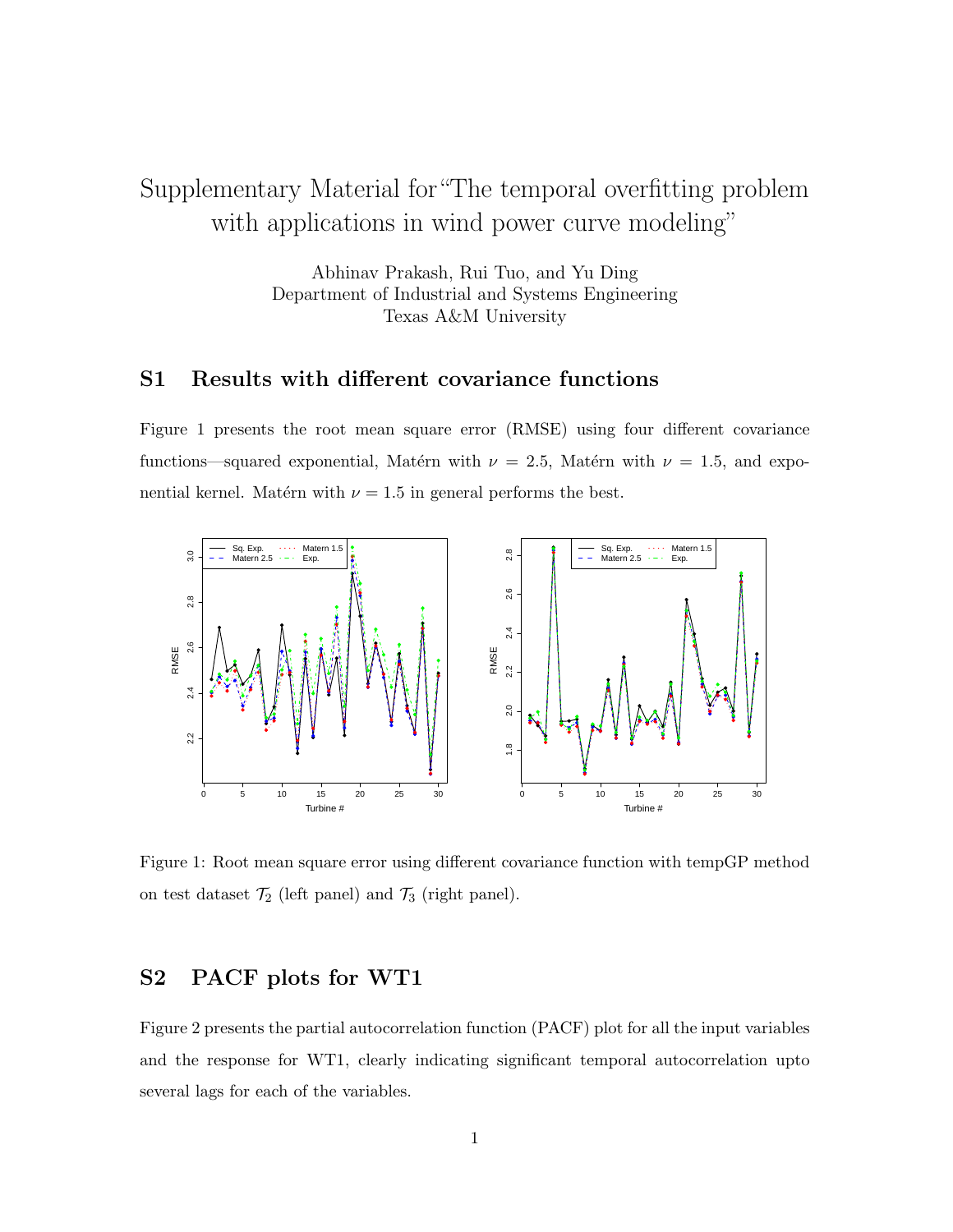# Supplementary Material for"The temporal overfitting problem with applications in wind power curve modeling"

Abhinav Prakash, Rui Tuo, and Yu Ding Department of Industrial and Systems Engineering Texas A&M University

## S1 Results with different covariance functions

Figure 1 presents the root mean square error (RMSE) using four different covariance functions—squared exponential, Matérn with  $\nu = 2.5$ , Matérn with  $\nu = 1.5$ , and exponential kernel. Matérn with  $\nu = 1.5$  in general performs the best.



Figure 1: Root mean square error using different covariance function with tempGP method on test dataset  $\mathcal{T}_2$  (left panel) and  $\mathcal{T}_3$  (right panel).

## S2 PACF plots for WT1

Figure 2 presents the partial autocorrelation function (PACF) plot for all the input variables and the response for WT1, clearly indicating significant temporal autocorrelation upto several lags for each of the variables.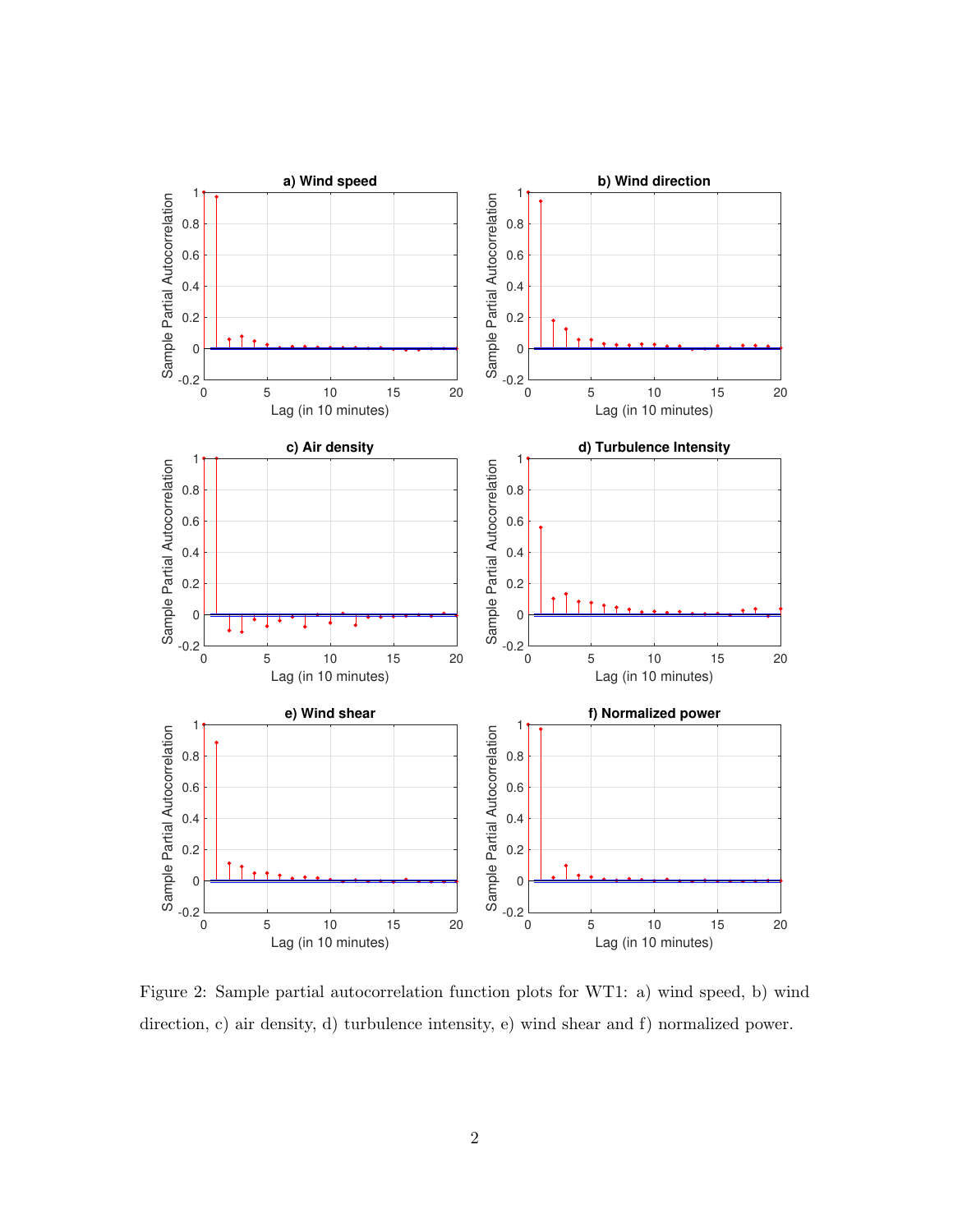

Figure 2: Sample partial autocorrelation function plots for WT1: a) wind speed, b) wind direction, c) air density, d) turbulence intensity, e) wind shear and f) normalized power.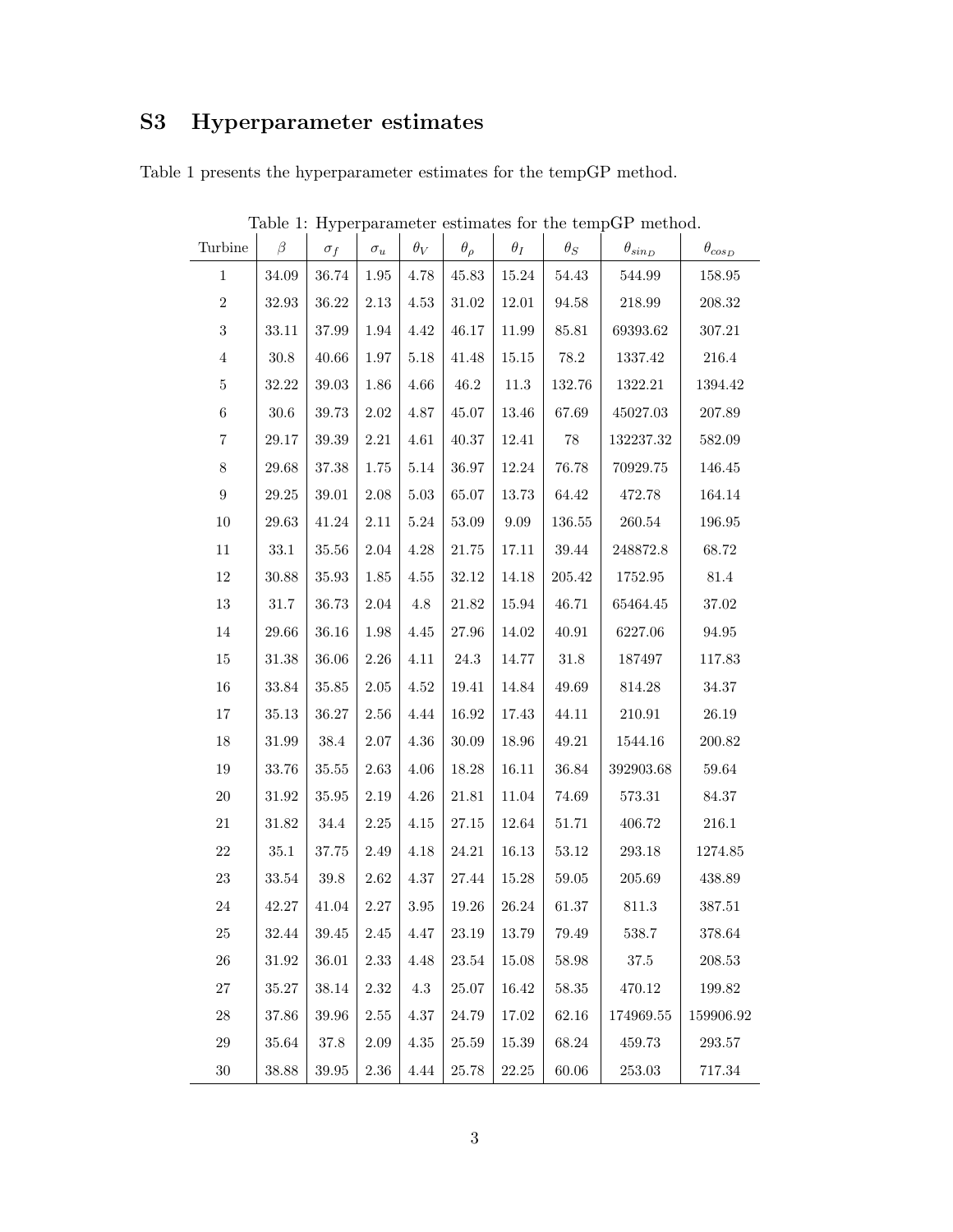# S3 Hyperparameter estimates

Table 1 presents the hyperparameter estimates for the tempGP method.

| Turbine          | $\beta$   | $\sigma_f$ | $\sigma_u$ | $\theta_V$ | $\theta_{\rho}$ | $\theta_I$ | $\theta_S$ | $\theta_{sin_D}$ | $\theta_{cos_D}$ |
|------------------|-----------|------------|------------|------------|-----------------|------------|------------|------------------|------------------|
| $\mathbf{1}$     | 34.09     | 36.74      | 1.95       | 4.78       | 45.83           | 15.24      | $54.43\,$  | 544.99           | $158.95\,$       |
| $\,2$            | 32.93     | 36.22      | $2.13\,$   | 4.53       | $31.02\,$       | 12.01      | 94.58      | 218.99           | 208.32           |
| $\sqrt{3}$       | $33.11\,$ | 37.99      | 1.94       | 4.42       | 46.17           | $11.99\,$  | 85.81      | 69393.62         | 307.21           |
| $\,4\,$          | $30.8\,$  | 40.66      | $1.97\,$   | $5.18\,$   | 41.48           | $15.15\,$  | $78.2\,$   | 1337.42          | $216.4\,$        |
| $\bf 5$          | 32.22     | 39.03      | 1.86       | 4.66       | 46.2            | 11.3       | 132.76     | 1322.21          | 1394.42          |
| $\,6$            | $30.6\,$  | 39.73      | $2.02\,$   | $4.87\,$   | 45.07           | 13.46      | 67.69      | 45027.03         | 207.89           |
| $\,7$            | 29.17     | $39.39\,$  | $2.21\,$   | 4.61       | 40.37           | 12.41      | $78\,$     | 132237.32        | 582.09           |
| $8\,$            | $29.68\,$ | 37.38      | 1.75       | $5.14\,$   | 36.97           | 12.24      | 76.78      | 70929.75         | 146.45           |
| $\boldsymbol{9}$ | $29.25\,$ | $39.01\,$  | $2.08\,$   | $5.03\,$   | 65.07           | $13.73\,$  | $64.42\,$  | 472.78           | 164.14           |
| $10\,$           | 29.63     | 41.24      | $2.11\,$   | $5.24\,$   | $53.09\,$       | $9.09\,$   | $136.55\,$ | $260.54\,$       | 196.95           |
| $11\,$           | $33.1\,$  | $35.56\,$  | $2.04\,$   | $4.28\,$   | $21.75\,$       | 17.11      | $39.44\,$  | 248872.8         | 68.72            |
| $12\,$           | $30.88\,$ | $35.93\,$  | $1.85\,$   | 4.55       | 32.12           | 14.18      | $205.42\,$ | 1752.95          | $81.4\,$         |
| 13               | $31.7\,$  | 36.73      | $2.04\,$   | 4.8        | 21.82           | $15.94\,$  | 46.71      | 65464.45         | 37.02            |
| 14               | 29.66     | 36.16      | $1.98\,$   | 4.45       | 27.96           | 14.02      | 40.91      | 6227.06          | 94.95            |
| $15\,$           | $31.38\,$ | 36.06      | $2.26\,$   | 4.11       | $24.3\,$        | 14.77      | $31.8\,$   | 187497           | 117.83           |
| $16\,$           | $33.84\,$ | 35.85      | $2.05\,$   | 4.52       | 19.41           | 14.84      | 49.69      | 814.28           | 34.37            |
| $17\,$           | 35.13     | 36.27      | 2.56       | 4.44       | 16.92           | 17.43      | 44.11      | 210.91           | $26.19\,$        |
| $18\,$           | 31.99     | $38.4\,$   | $2.07\,$   | 4.36       | $30.09\,$       | $18.96\,$  | 49.21      | 1544.16          | 200.82           |
| 19               | $33.76\,$ | 35.55      | $2.63\,$   | $4.06\,$   | 18.28           | 16.11      | 36.84      | 392903.68        | 59.64            |
| $20\,$           | 31.92     | 35.95      | 2.19       | $4.26\,$   | 21.81           | $11.04\,$  | 74.69      | 573.31           | 84.37            |
| $21\,$           | 31.82     | 34.4       | $2.25\,$   | 4.15       | $27.15\,$       | 12.64      | $51.71\,$  | 406.72           | 216.1            |
| $22\,$           | $35.1\,$  | 37.75      | 2.49       | 4.18       | 24.21           | 16.13      | $53.12\,$  | 293.18           | 1274.85          |
| $23\,$           | $33.54\,$ | $39.8\,$   | $2.62\,$   | $4.37\,$   | 27.44           | $15.28\,$  | $59.05\,$  | 205.69           | 438.89           |
| $24\,$           | 42.27     | 41.04      | 2.27       | $3.95\,$   | 19.26           | $26.24\,$  | 61.37      | $811.3\,$        | 387.51           |
| $25\,$           | $32.44\,$ | $39.45\,$  | $2.45\,$   | $4.47\,$   | 23.19           | $13.79\,$  | 79.49      | 538.7            | 378.64           |
| $26\,$           | 31.92     | 36.01      | $2.33\,$   | 4.48       | $23.54\,$       | 15.08      | 58.98      | $37.5\,$         | 208.53           |
| $27\,$           | $35.27\,$ | 38.14      | $2.32\,$   | 4.3        | 25.07           | 16.42      | 58.35      | 470.12           | 199.82           |
| $28\,$           | 37.86     | $39.96\,$  | 2.55       | 4.37       | 24.79           | 17.02      | 62.16      | 174969.55        | 159906.92        |
| $29\,$           | 35.64     | 37.8       | 2.09       | 4.35       | 25.59           | 15.39      | $68.24\,$  | 459.73           | 293.57           |
| $30\,$           | $38.88\,$ | $39.95\,$  | $2.36\,$   | $4.44\,$   | $25.78\,$       | $22.25\,$  | $60.06\,$  | $253.03\,$       | 717.34           |

Table 1: Hyperparameter estimates for the tempGP method.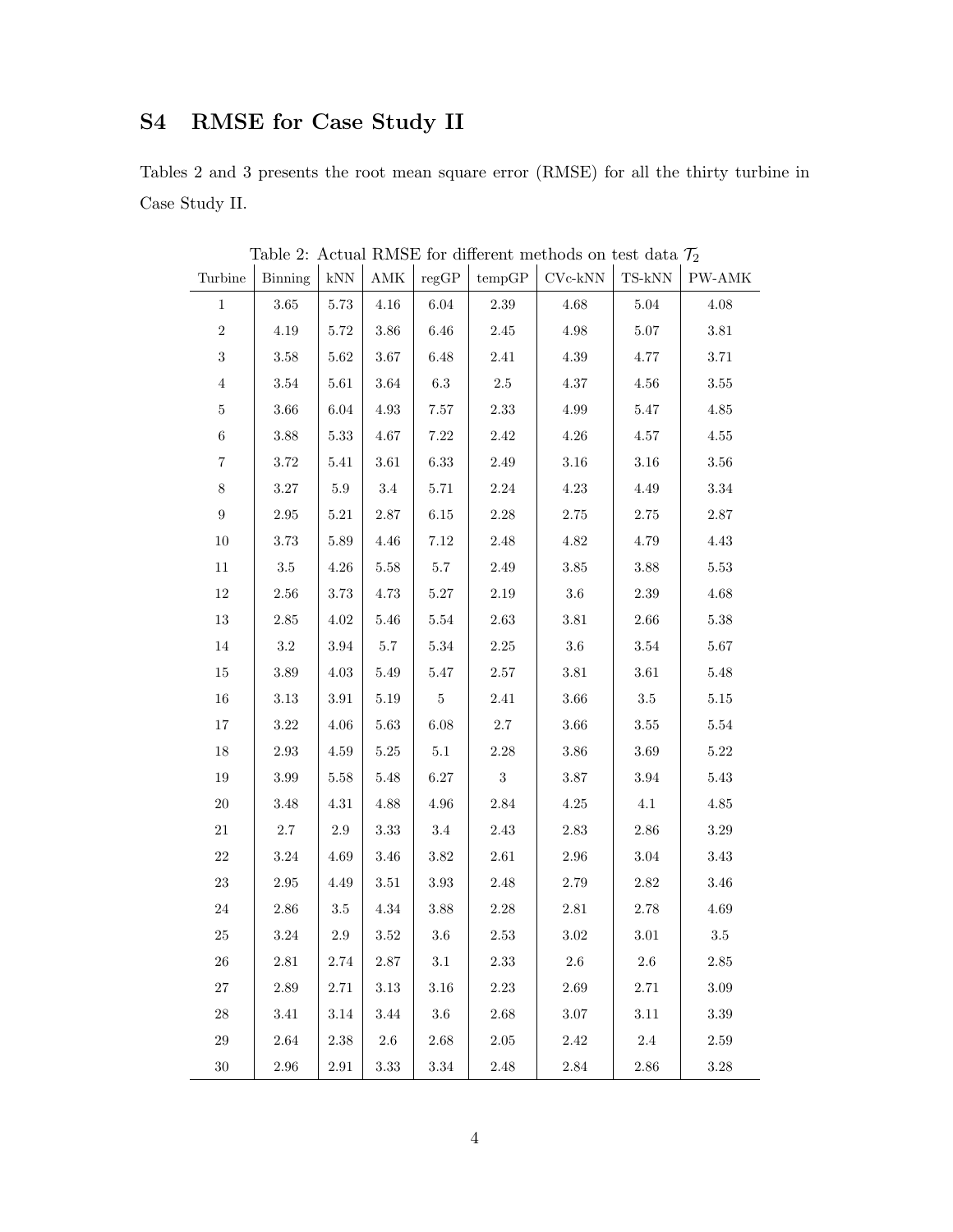## S4 RMSE for Case Study II

Tables 2 and 3 presents the root mean square error (RMSE) for all the thirty turbine in Case Study II.

| Turbine          | <b>Binning</b> | $\mathbf{kNN}$ | $\operatorname{AMK}$ | regGP    | tempGP         | $CVc-kNN$ | $_{\rm TS\text{-}kNN}$ | $\mathbf{PW}\text{-}\mathbf{AMK}$ |
|------------------|----------------|----------------|----------------------|----------|----------------|-----------|------------------------|-----------------------------------|
| $\,1$            | $3.65\,$       | $5.73\,$       | $4.16\,$             | $6.04\,$ | 2.39           | $4.68\,$  | $5.04\,$               | $4.08\,$                          |
| $\,2$            | 4.19           | 5.72           | $3.86\,$             | 6.46     | 2.45           | $4.98\,$  | 5.07                   | $3.81\,$                          |
| $\,3$            | $3.58\,$       | $5.62\,$       | $3.67\,$             | $6.48\,$ | $2.41\,$       | $4.39\,$  | 4.77                   | 3.71                              |
| $\,4\,$          | 3.54           | $5.61\,$       | $3.64\,$             | $6.3\,$  | $2.5\,$        | 4.37      | $4.56\,$               | 3.55                              |
| $\bf 5$          | $3.66\,$       | 6.04           | $4.93\,$             | $7.57\,$ | $2.33\,$       | $4.99\,$  | $5.47\,$               | $4.85\,$                          |
| $\,6\,$          | $3.88\,$       | $5.33\,$       | $4.67\,$             | $7.22\,$ | $2.42\,$       | $4.26\,$  | $4.57\,$               | $4.55\,$                          |
| $\,7$            | $3.72\,$       | $5.41\,$       | $3.61\,$             | 6.33     | $2.49\,$       | $3.16\,$  | $3.16\,$               | $3.56\,$                          |
| $8\,$            | $3.27\,$       | $5.9\,$        | $3.4\,$              | $5.71\,$ | $2.24\,$       | $4.23\,$  | $4.49\,$               | $3.34\,$                          |
| $\boldsymbol{9}$ | 2.95           | 5.21           | $2.87\,$             | $6.15\,$ | 2.28           | 2.75      | $2.75\,$               | $2.87\,$                          |
| $10\,$           | $3.73\,$       | $5.89\,$       | $4.46\,$             | $7.12\,$ | $2.48\,$       | $4.82\,$  | 4.79                   | $4.43\,$                          |
| $11\,$           | 3.5            | 4.26           | $5.58\,$             | $5.7\,$  | 2.49           | $3.85\,$  | $3.88\,$               | 5.53                              |
| $12\,$           | $2.56\,$       | $3.73\,$       | 4.73                 | $5.27\,$ | $2.19\,$       | $3.6\,$   | $2.39\,$               | $4.68\,$                          |
| $13\,$           | 2.85           | $4.02\,$       | $5.46\,$             | $5.54\,$ | $2.63\,$       | $3.81\,$  | $2.66\,$               | $5.38\,$                          |
| $14\,$           | $\!.2$         | 3.94           | $5.7\,$              | $5.34\,$ | $2.25\,$       | $3.6\,$   | $3.54\,$               | $5.67\,$                          |
| $15\,$           | $3.89\,$       | $4.03\,$       | $5.49\,$             | $5.47\,$ | $2.57\,$       | $3.81\,$  | $3.61\,$               | $5.48\,$                          |
| $16\,$           | 3.13           | 3.91           | $5.19\,$             | $\bf 5$  | $2.41\,$       | 3.66      | $3.5\,$                | $5.15\,$                          |
| $17\,$           | $3.22\,$       | $4.06\,$       | $5.63\,$             | $6.08\,$ | $2.7\,$        | $3.66\,$  | $3.55\,$               | $5.54\,$                          |
| $18\,$           | 2.93           | $4.59\,$       | $5.25\,$             | $5.1\,$  | $2.28\,$       | $3.86\,$  | $3.69\,$               | $5.22\,$                          |
| $19\,$           | 3.99           | 5.58           | $5.48\,$             | 6.27     | $\overline{3}$ | $3.87\,$  | 3.94                   | $5.43\,$                          |
| $20\,$           | $3.48\,$       | $4.31\,$       | $4.88\,$             | 4.96     | $2.84\,$       | $4.25\,$  | 4.1                    | $4.85\,$                          |
| $21\,$           | 2.7            | 2.9            | $3.33\,$             | $3.4\,$  | $2.43\,$       | $2.83\,$  | $2.86\,$               | 3.29                              |
| $22\,$           | $3.24\,$       | $4.69\,$       | $3.46\,$             | $3.82\,$ | $2.61\,$       | $2.96\,$  | $3.04\,$               | $3.43\,$                          |
| $23\,$           | 2.95           | 4.49           | $3.51\,$             | $3.93\,$ | $2.48\,$       | $2.79\,$  | $2.82\,$               | $3.46\,$                          |
| $24\,$           | $2.86\,$       | $3.5\,$        | $4.34\,$             | $3.88\,$ | $2.28\,$       | $2.81\,$  | $2.78\,$               | $4.69\,$                          |
| $25\,$           | $3.24\,$       | $2.9\,$        | $3.52\,$             | $3.6\,$  | $2.53\,$       | $3.02\,$  | $3.01\,$               | $3.5\,$                           |
| 26               | 2.81           | $2.74\,$       | 2.87                 | 3.1      | $2.33\,$       | 2.6       | $2.6\,$                | 2.85                              |
| 27               | 2.89           | 2.71           | 3.13                 | 3.16     | 2.23           | 2.69      | 2.71                   | 3.09                              |
| $28\,$           | $3.41\,$       | $3.14\,$       | 3.44                 | 3.6      | 2.68           | $3.07\,$  | $3.11\,$               | $3.39\,$                          |
| $29\,$           | 2.64           | $2.38\,$       | 2.6                  | 2.68     | 2.05           | 2.42      | 2.4                    | 2.59                              |
| $30\,$           | $2.96\,$       | $2.91\,$       | $3.33\,$             | 3.34     | $2.48\,$       | $2.84\,$  | $2.86\,$               | 3.28                              |

Table 2: Actual RMSE for different methods on test data  $\mathcal{T}_2$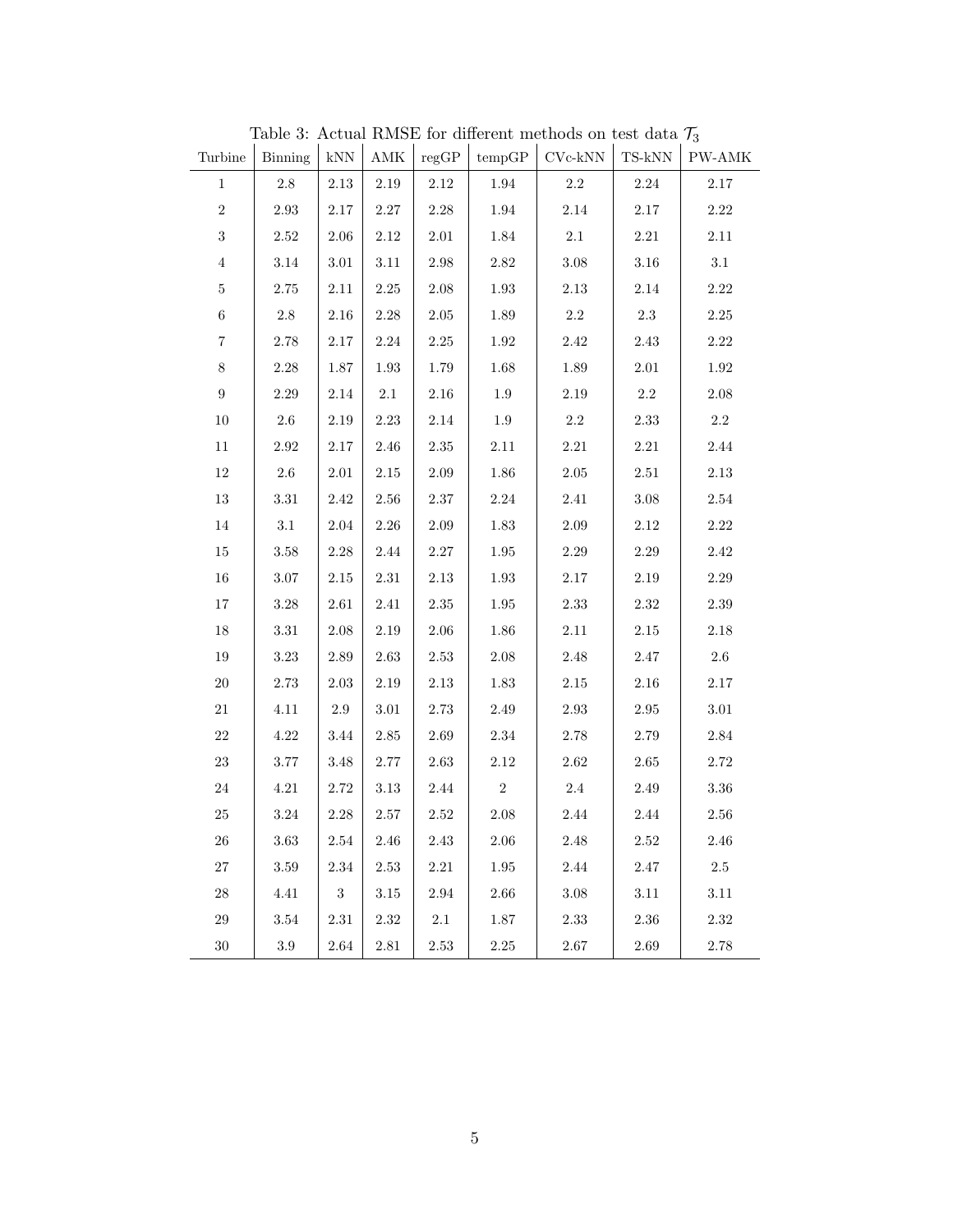| Turbine          | Binning  | $\mathrm{kNN}$ | $\operatorname{AMK}$ | regGP      | tempGP   | $\mathrm{Cyc\text{-}kNN}$ | $_{\mathrm{TS-kNN}}$ | $\mathbf{P}\mathbf{W}\text{-}\mathbf{AMK}$ |
|------------------|----------|----------------|----------------------|------------|----------|---------------------------|----------------------|--------------------------------------------|
| $\mathbf{1}$     | $2.8\,$  | $2.13\,$       | $2.19\,$             | 2.12       | 1.94     | 2.2                       | $2.24\,$             | $2.17\,$                                   |
| $\overline{2}$   | $2.93\,$ | $2.17\,$       | $2.27\,$             | $2.28\,$   | $1.94\,$ | 2.14                      | $2.17\,$             | $2.22\,$                                   |
| $\,3$            | 2.52     | 2.06           | $2.12\,$             | $2.01\,$   | $1.84\,$ | 2.1                       | $2.21\,$             | $2.11\,$                                   |
| $\overline{4}$   | 3.14     | $3.01\,$       | 3.11                 | 2.98       | $2.82\,$ | $3.08\,$                  | $3.16\,$             | $3.1\,$                                    |
| $\bf 5$          | $2.75\,$ | $2.11\,$       | $2.25\,$             | $2.08\,$   | $1.93\,$ | $2.13\,$                  | $2.14\,$             | 2.22                                       |
| $\,6$            | $2.8\,$  | $2.16\,$       | 2.28                 | $2.05\,$   | $1.89\,$ | $2.2\,$                   | $2.3\,$              | $2.25\,$                                   |
| $\,7$            | 2.78     | $2.17\,$       | $2.24\,$             | $2.25\,$   | $1.92\,$ | 2.42                      | 2.43                 | $2.22\,$                                   |
| 8                | $2.28\,$ | 1.87           | $1.93\,$             | $1.79\,$   | $1.68\,$ | 1.89                      | $2.01\,$             | 1.92                                       |
| $\boldsymbol{9}$ | $2.29\,$ | $2.14\,$       | $2.1\,$              | $2.16\,$   | $1.9\,$  | $2.19\,$                  | $2.2\,$              | 2.08                                       |
| 10               | $2.6\,$  | $2.19\,$       | $2.23\,$             | $2.14\,$   | $1.9\,$  | $2.2\,$                   | $2.33\,$             | $2.2\,$                                    |
| $11\,$           | $2.92\,$ | $2.17\,$       | 2.46                 | $2.35\,$   | $2.11\,$ | $2.21\,$                  | $2.21\,$             | $2.44\,$                                   |
| 12               | 2.6      | 2.01           | $2.15\,$             | 2.09       | $1.86\,$ | $2.05\,$                  | 2.51                 | $2.13\,$                                   |
| 13               | 3.31     | 2.42           | 2.56                 | 2.37       | $2.24\,$ | 2.41                      | $3.08\,$             | 2.54                                       |
| $14\,$           | $3.1\,$  | $2.04\,$       | $2.26\,$             | $2.09\,$   | $1.83\,$ | $2.09\,$                  | $2.12\,$             | $2.22\,$                                   |
| $15\,$           | $3.58\,$ | $2.28\,$       | $2.44\,$             | $2.27\,$   | $1.95\,$ | $2.29\,$                  | $2.29\,$             | $2.42\,$                                   |
| $16\,$           | 3.07     | $2.15\,$       | $2.31\,$             | $2.13\,$   | 1.93     | 2.17                      | $2.19\,$             | 2.29                                       |
| 17               | $3.28\,$ | 2.61           | 2.41                 | $2.35\,$   | $1.95\,$ | $2.33\,$                  | $2.32\,$             | $2.39\,$                                   |
| $18\,$           | $3.31\,$ | 2.08           | $2.19\,$             | $2.06\,$   | $1.86\,$ | 2.11                      | $2.15\,$             | $2.18\,$                                   |
| $19\,$           | $3.23\,$ | 2.89           | $2.63\,$             | $2.53\,$   | $2.08\,$ | 2.48                      | $2.47\,$             | $2.6\,$                                    |
| $20\,$           | $2.73\,$ | $2.03\,$       | $2.19\,$             | $2.13\,$   | $1.83\,$ | 2.15                      | $2.16\,$             | $2.17\,$                                   |
| $21\,$           | 4.11     | 2.9            | $3.01\,$             | 2.73       | $2.49\,$ | 2.93                      | $\;\:2.95$           | $3.01\,$                                   |
| $22\,$           | 4.22     | 3.44           | 2.85                 | $2.69\,$   | $2.34\,$ | $2.78\,$                  | 2.79                 | 2.84                                       |
| $23\,$           | $3.77\,$ | $3.48\,$       | $2.77\,$             | $2.63\,$   | $2.12\,$ | $2.62\,$                  | $2.65\,$             | $2.72\,$                                   |
| $24\,$           | $4.21\,$ | $2.72\,$       | $3.13\,$             | $2.44\,$   | $\,2$    | $2.4\,$                   | $2.49\,$             | $3.36\,$                                   |
| $25\,$           | 3.24     | $2.28\,$       | 2.57                 | $2.52\,$   | $2.08\,$ | 2.44                      | 2.44                 | 2.56                                       |
| $26\,$           | $3.63\,$ | $2.54\,$       | $2.46\,$             | $2.43\,$   | $2.06\,$ | $2.48\,$                  | $2.52\,$             | $2.46\,$                                   |
| $27\,$           | 3.59     | 2.34           | 2.53                 | $2.21\,$   | 1.95     | $2.44\,$                  | $2.47\,$             | $2.5\,$                                    |
| $28\,$           | 4.41     | $\overline{3}$ | $3.15\,$             | $\;\:2.94$ | $2.66\,$ | $3.08\,$                  | $3.11\,$             | $3.11\,$                                   |
| $29\,$           | $3.54\,$ | $2.31\,$       | $2.32\,$             | $2.1\,$    | $1.87\,$ | $2.33\,$                  | $2.36\,$             | $2.32\,$                                   |
| $30\,$           | $3.9\,$  | 2.64           | $2.81\,$             | $2.53\,$   | 2.25     | 2.67                      | $2.69\,$             | 2.78                                       |

Table 3: Actual RMSE for different methods on test data  $\mathcal{T}_3$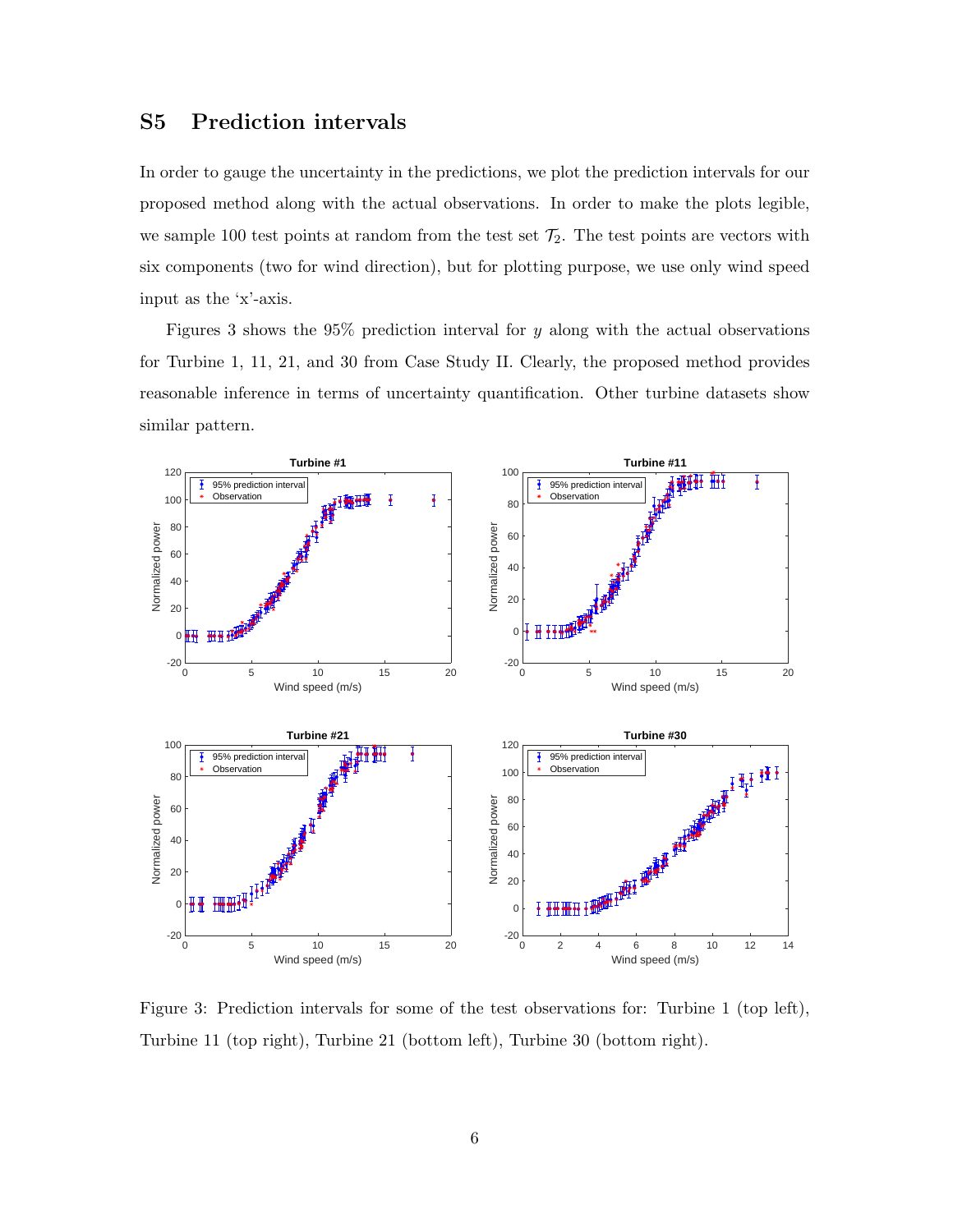## S5 Prediction intervals

In order to gauge the uncertainty in the predictions, we plot the prediction intervals for our proposed method along with the actual observations. In order to make the plots legible, we sample 100 test points at random from the test set  $\mathcal{T}_2$ . The test points are vectors with six components (two for wind direction), but for plotting purpose, we use only wind speed input as the 'x'-axis.

Figures 3 shows the 95% prediction interval for y along with the actual observations for Turbine 1, 11, 21, and 30 from Case Study II. Clearly, the proposed method provides reasonable inference in terms of uncertainty quantification. Other turbine datasets show similar pattern.



Figure 3: Prediction intervals for some of the test observations for: Turbine 1 (top left), Turbine 11 (top right), Turbine 21 (bottom left), Turbine 30 (bottom right).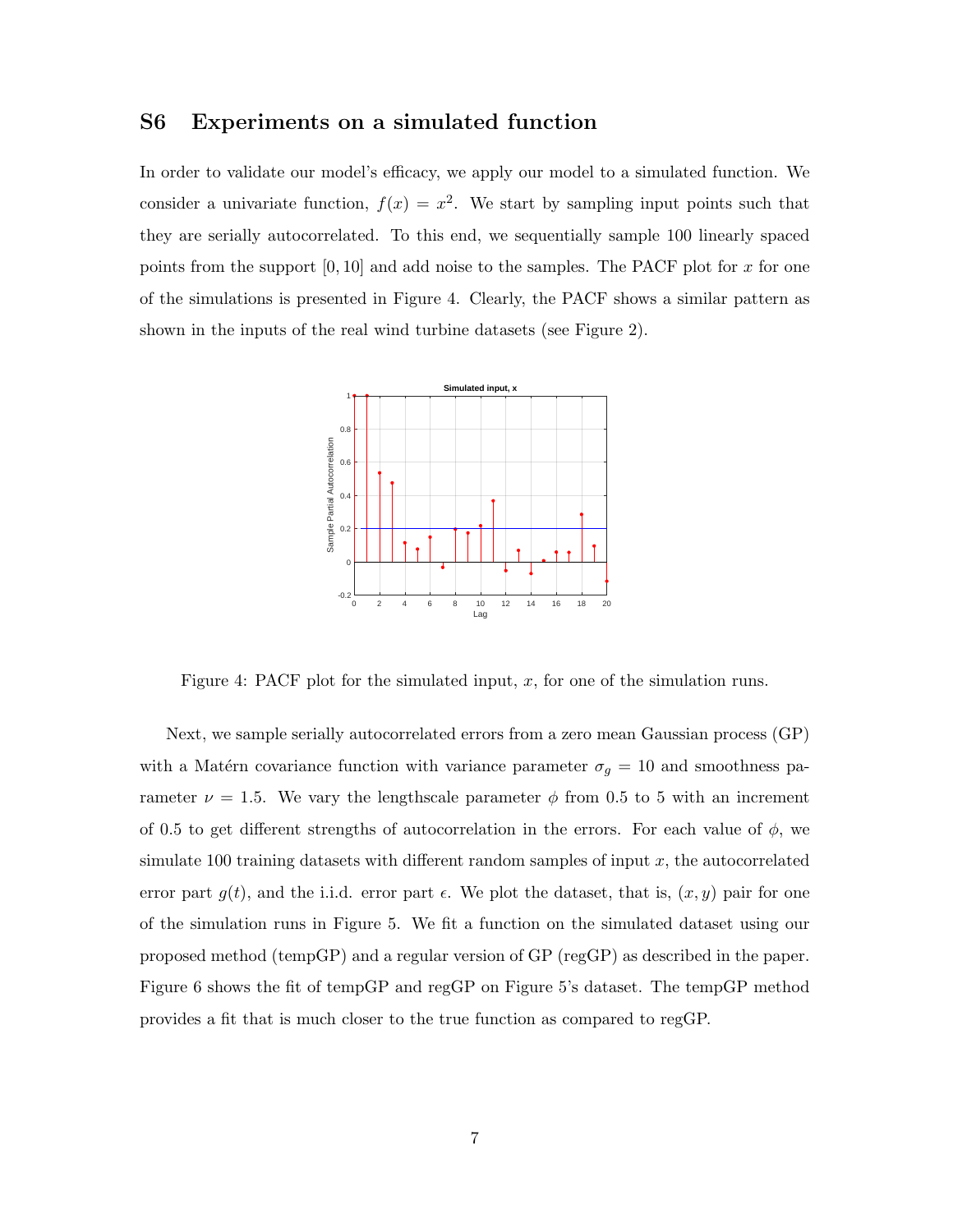#### S6 Experiments on a simulated function

In order to validate our model's efficacy, we apply our model to a simulated function. We consider a univariate function,  $f(x) = x^2$ . We start by sampling input points such that they are serially autocorrelated. To this end, we sequentially sample 100 linearly spaced points from the support  $[0, 10]$  and add noise to the samples. The PACF plot for x for one of the simulations is presented in Figure 4. Clearly, the PACF shows a similar pattern as shown in the inputs of the real wind turbine datasets (see Figure 2).



Figure 4: PACF plot for the simulated input,  $x$ , for one of the simulation runs.

Next, we sample serially autocorrelated errors from a zero mean Gaussian process (GP) with a Matérn covariance function with variance parameter  $\sigma_g = 10$  and smoothness parameter  $\nu = 1.5$ . We vary the lengthscale parameter  $\phi$  from 0.5 to 5 with an increment of 0.5 to get different strengths of autocorrelation in the errors. For each value of  $\phi$ , we simulate 100 training datasets with different random samples of input  $x$ , the autocorrelated error part  $g(t)$ , and the i.i.d. error part  $\epsilon$ . We plot the dataset, that is,  $(x, y)$  pair for one of the simulation runs in Figure 5. We fit a function on the simulated dataset using our proposed method (tempGP) and a regular version of GP (regGP) as described in the paper. Figure 6 shows the fit of tempGP and regGP on Figure 5's dataset. The tempGP method provides a fit that is much closer to the true function as compared to regGP.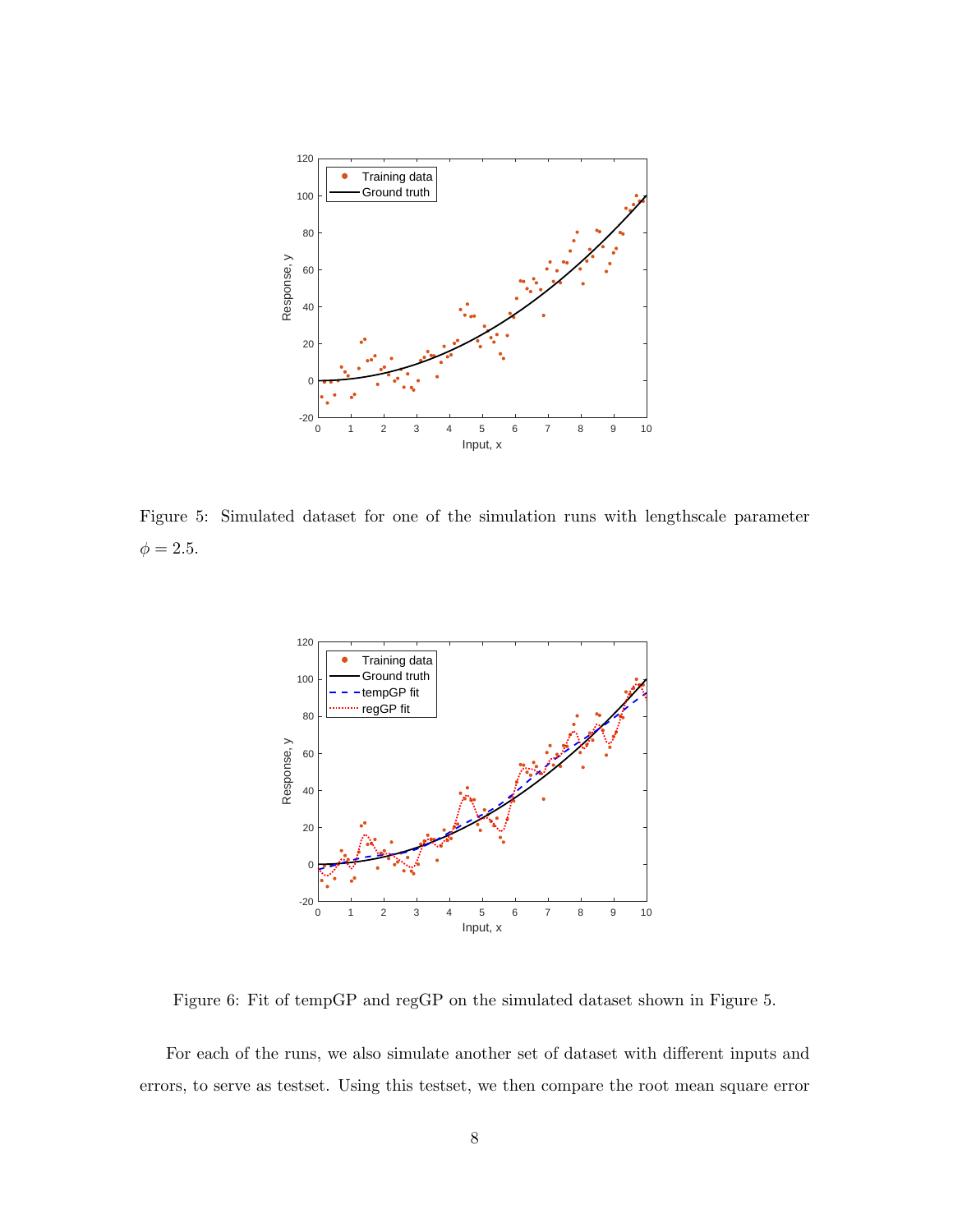

Figure 5: Simulated dataset for one of the simulation runs with lengthscale parameter  $\phi = 2.5.$ 



Figure 6: Fit of tempGP and regGP on the simulated dataset shown in Figure 5.

For each of the runs, we also simulate another set of dataset with different inputs and errors, to serve as testset. Using this testset, we then compare the root mean square error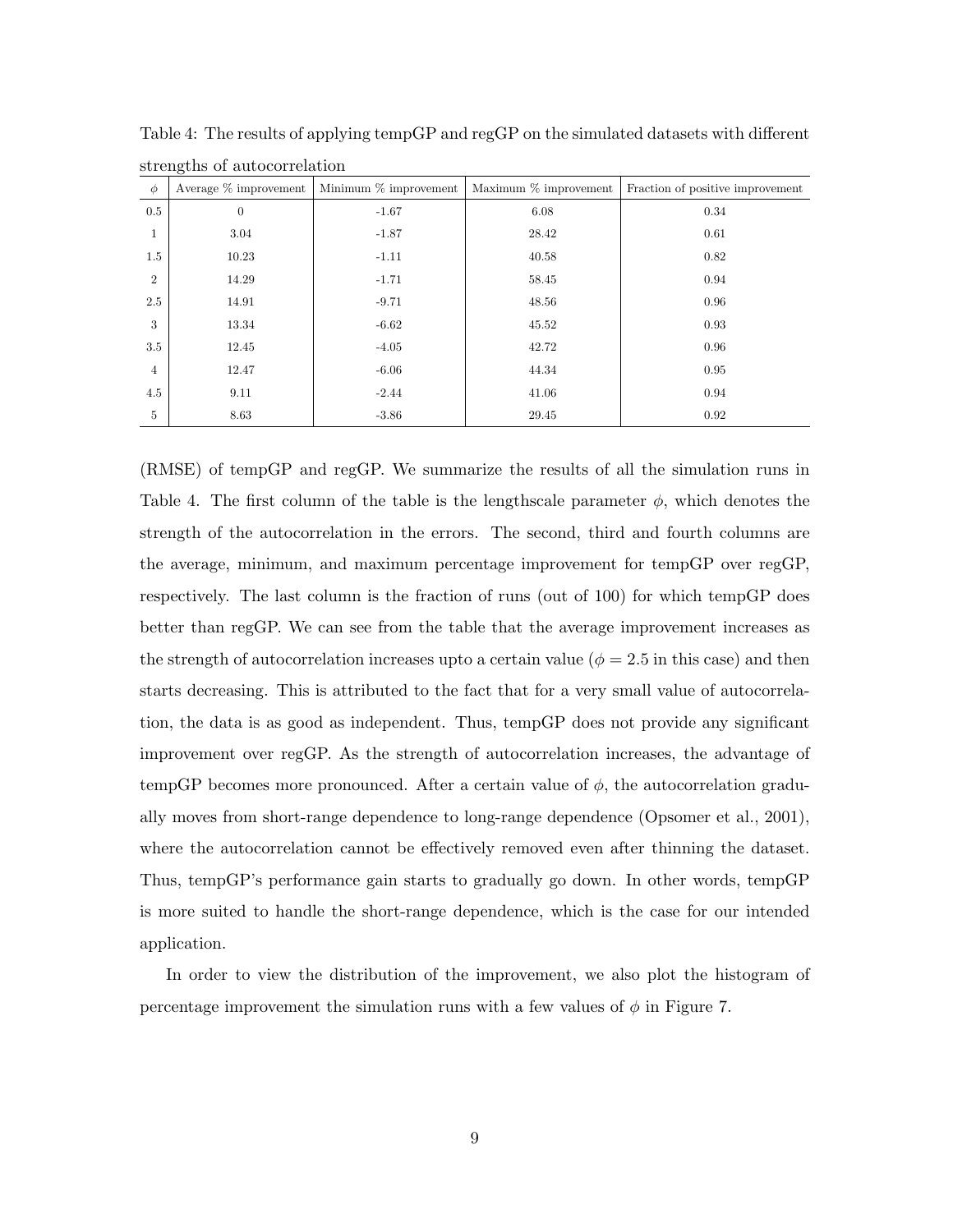| $\phi$         | Average $\%$ improvement | Minimum $\%$ improvement | Maximum $\%$ improvement | Fraction of positive improvement |
|----------------|--------------------------|--------------------------|--------------------------|----------------------------------|
| 0.5            | $\overline{0}$           | $-1.67$                  | 6.08                     | 0.34                             |
| 1              | 3.04                     | $-1.87$                  | 28.42                    | 0.61                             |
| 1.5            | 10.23                    | $-1.11$                  | 40.58                    | 0.82                             |
| $\overline{2}$ | 14.29                    | $-1.71$                  | 58.45                    | 0.94                             |
| 2.5            | 14.91                    | $-9.71$                  | 48.56                    | 0.96                             |
| 3              | 13.34                    | $-6.62$                  | 45.52                    | 0.93                             |
| 3.5            | 12.45                    | $-4.05$                  | 42.72                    | 0.96                             |
| $\overline{4}$ | 12.47                    | $-6.06$                  | 44.34                    | 0.95                             |
| 4.5            | 9.11                     | $-2.44$                  | 41.06                    | 0.94                             |
| 5              | 8.63                     | $-3.86$                  | 29.45                    | 0.92                             |

Table 4: The results of applying tempGP and regGP on the simulated datasets with different strengths of autocorrelation

(RMSE) of tempGP and regGP. We summarize the results of all the simulation runs in Table 4. The first column of the table is the lengthscale parameter  $\phi$ , which denotes the strength of the autocorrelation in the errors. The second, third and fourth columns are the average, minimum, and maximum percentage improvement for tempGP over regGP, respectively. The last column is the fraction of runs (out of 100) for which tempGP does better than regGP. We can see from the table that the average improvement increases as the strength of autocorrelation increases upto a certain value ( $\phi = 2.5$  in this case) and then starts decreasing. This is attributed to the fact that for a very small value of autocorrelation, the data is as good as independent. Thus, tempGP does not provide any significant improvement over regGP. As the strength of autocorrelation increases, the advantage of tempGP becomes more pronounced. After a certain value of  $\phi$ , the autocorrelation gradually moves from short-range dependence to long-range dependence (Opsomer et al., 2001), where the autocorrelation cannot be effectively removed even after thinning the dataset. Thus, tempGP's performance gain starts to gradually go down. In other words, tempGP is more suited to handle the short-range dependence, which is the case for our intended application.

In order to view the distribution of the improvement, we also plot the histogram of percentage improvement the simulation runs with a few values of  $\phi$  in Figure 7.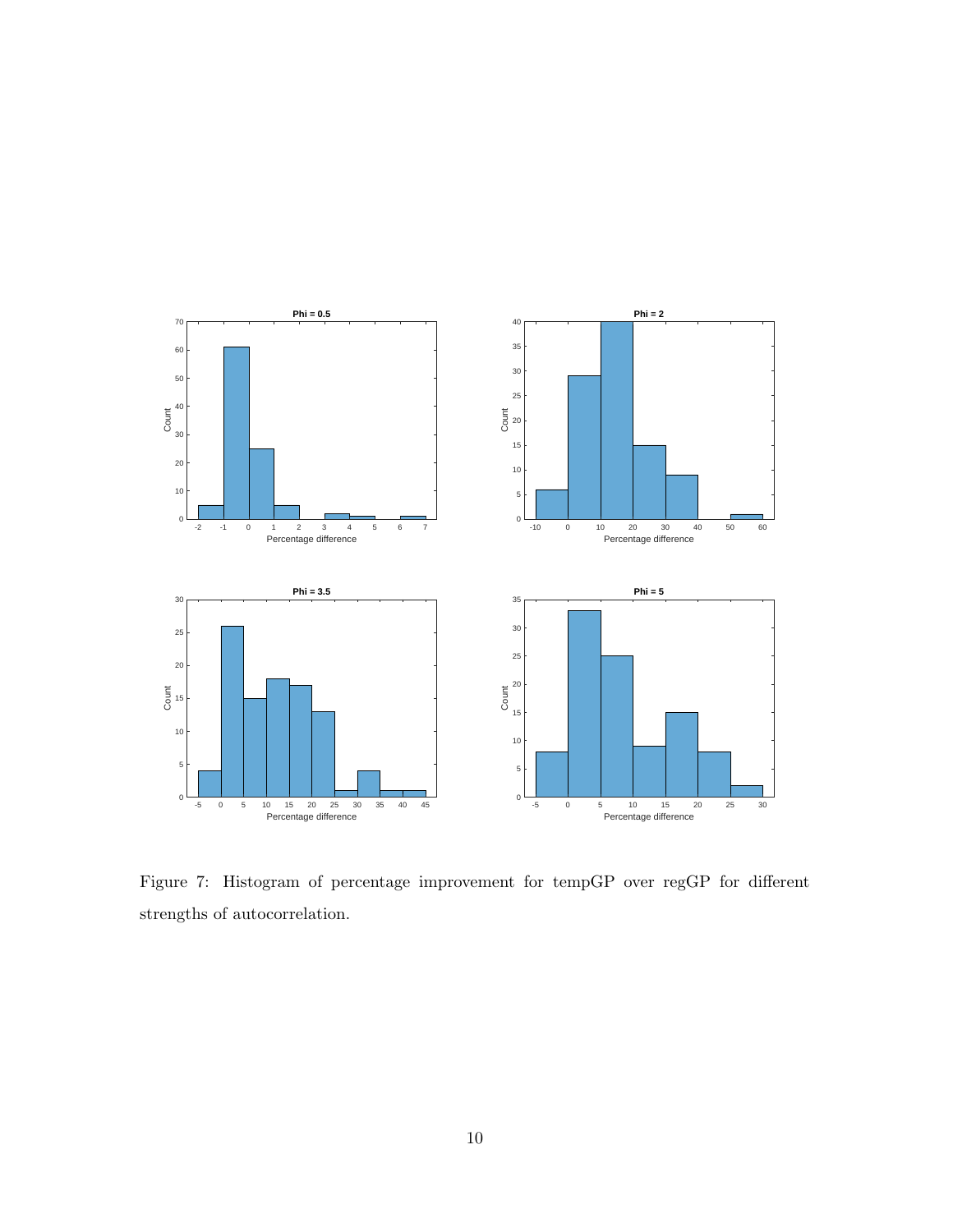

Figure 7: Histogram of percentage improvement for tempGP over regGP for different strengths of autocorrelation.